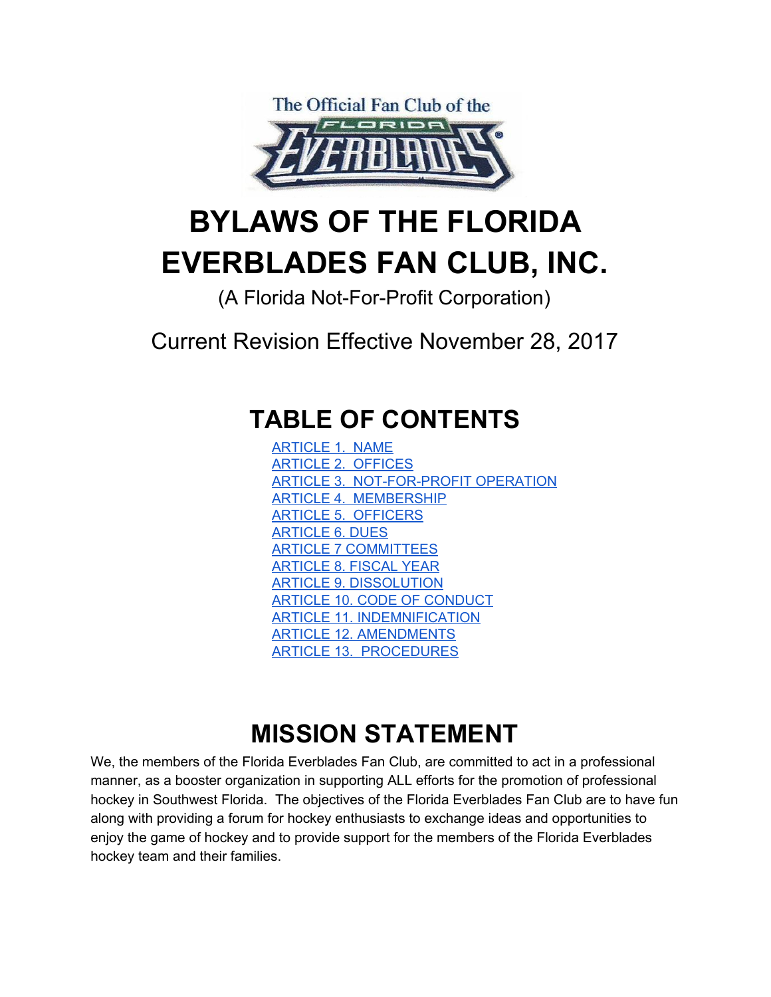

# **BYLAWS OF THE FLORIDA EVERBLADES FAN CLUB, INC.**

(A Florida Not-For-Profit Corporation)

Current Revision Effective November 28, 2017

#### **TABLE OF CONTENTS**

[ARTICLE](#page-1-0) 1. NAME ARTICLE 2. [OFFICES](#page-1-1) ARTICLE 3. [NOT-FOR-PROFIT](#page-1-2) OPERATION ARTICLE 4. [MEMBERSHIP](#page-1-3) ARTICLE 5. [OFFICERS](#page-4-0) [ARTICLE](#page-7-0) 6. DUES ARTICLE 7 [COMMITTEES](#page-7-1) [ARTICLE](#page-8-0) 8. FISCAL YEAR ARTICLE 9. [DISSOLUTION](#page-8-1) ARTICLE 10. CODE OF [CONDUCT](#page-8-2) ARTICLE 11. [INDEMNIFICATION](#page-9-0) ARTICLE 12. [AMENDMENTS](#page-9-1) ARTICLE 13. [PROCEDURES](#page-9-2)

## **MISSION STATEMENT**

We, the members of the Florida Everblades Fan Club, are committed to act in a professional manner, as a booster organization in supporting ALL efforts for the promotion of professional hockey in Southwest Florida. The objectives of the Florida Everblades Fan Club are to have fun along with providing a forum for hockey enthusiasts to exchange ideas and opportunities to enjoy the game of hockey and to provide support for the members of the Florida Everblades hockey team and their families.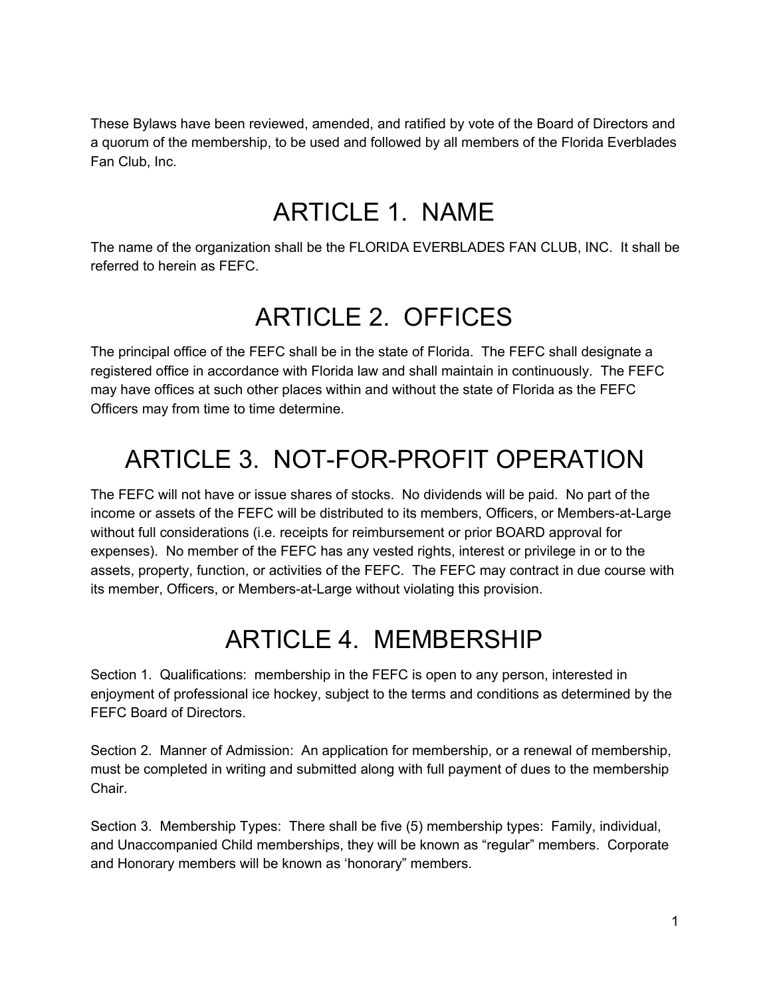<span id="page-1-0"></span>These Bylaws have been reviewed, amended, and ratified by vote of the Board of Directors and a quorum of the membership, to be used and followed by all members of the Florida Everblades Fan Club, Inc.

#### ARTICLE 1. NAME

<span id="page-1-1"></span>The name of the organization shall be the FLORIDA EVERBLADES FAN CLUB, INC. It shall be referred to herein as FEFC.

#### ARTICLE 2. OFFICES

The principal office of the FEFC shall be in the state of Florida. The FEFC shall designate a registered office in accordance with Florida law and shall maintain in continuously. The FEFC may have offices at such other places within and without the state of Florida as the FEFC Officers may from time to time determine.

## <span id="page-1-2"></span>ARTICLE 3. NOT-FOR-PROFIT OPERATION

The FEFC will not have or issue shares of stocks. No dividends will be paid. No part of the income or assets of the FEFC will be distributed to its members, Officers, or Members-at-Large without full considerations (i.e. receipts for reimbursement or prior BOARD approval for expenses). No member of the FEFC has any vested rights, interest or privilege in or to the assets, property, function, or activities of the FEFC. The FEFC may contract in due course with its member, Officers, or Members-at-Large without violating this provision.

## ARTICLE 4. MEMBERSHIP

<span id="page-1-3"></span>Section 1. Qualifications: membership in the FEFC is open to any person, interested in enjoyment of professional ice hockey, subject to the terms and conditions as determined by the FEFC Board of Directors.

Section 2. Manner of Admission: An application for membership, or a renewal of membership, must be completed in writing and submitted along with full payment of dues to the membership Chair.

Section 3. Membership Types: There shall be five (5) membership types: Family, individual, and Unaccompanied Child memberships, they will be known as "regular" members. Corporate and Honorary members will be known as 'honorary" members.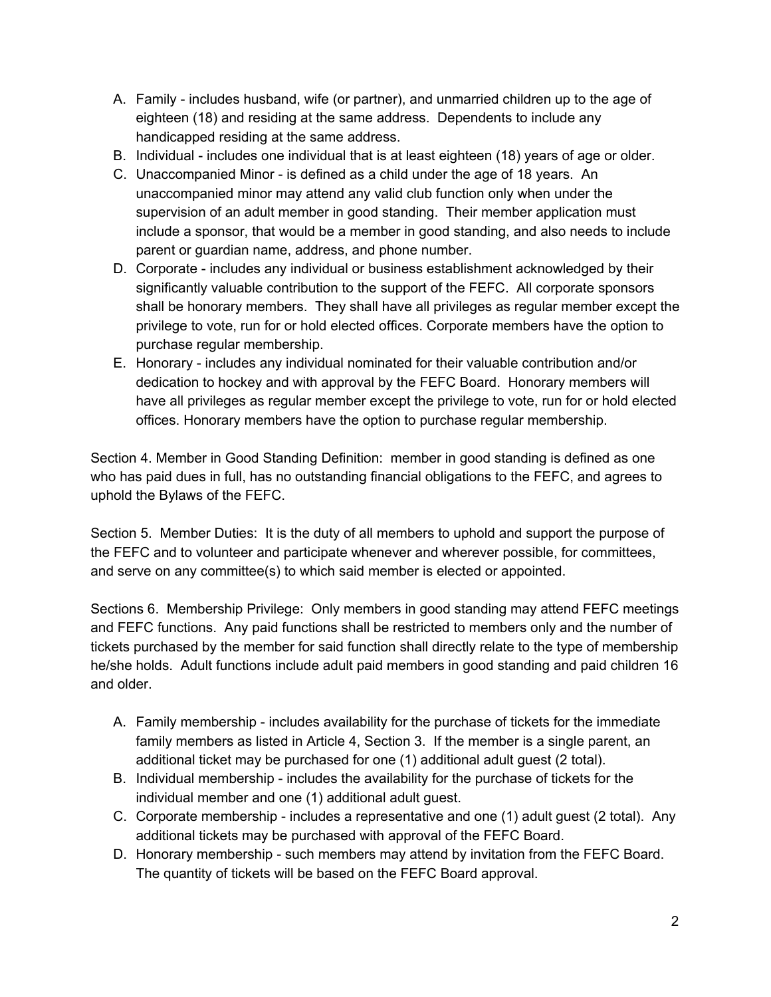- A. Family includes husband, wife (or partner), and unmarried children up to the age of eighteen (18) and residing at the same address. Dependents to include any handicapped residing at the same address.
- B. Individual includes one individual that is at least eighteen (18) years of age or older.
- C. Unaccompanied Minor is defined as a child under the age of 18 years. An unaccompanied minor may attend any valid club function only when under the supervision of an adult member in good standing. Their member application must include a sponsor, that would be a member in good standing, and also needs to include parent or guardian name, address, and phone number.
- D. Corporate includes any individual or business establishment acknowledged by their significantly valuable contribution to the support of the FEFC. All corporate sponsors shall be honorary members. They shall have all privileges as regular member except the privilege to vote, run for or hold elected offices. Corporate members have the option to purchase regular membership.
- E. Honorary includes any individual nominated for their valuable contribution and/or dedication to hockey and with approval by the FEFC Board. Honorary members will have all privileges as regular member except the privilege to vote, run for or hold elected offices. Honorary members have the option to purchase regular membership.

Section 4. Member in Good Standing Definition: member in good standing is defined as one who has paid dues in full, has no outstanding financial obligations to the FEFC, and agrees to uphold the Bylaws of the FEFC.

Section 5. Member Duties: It is the duty of all members to uphold and support the purpose of the FEFC and to volunteer and participate whenever and wherever possible, for committees, and serve on any committee(s) to which said member is elected or appointed.

Sections 6. Membership Privilege: Only members in good standing may attend FEFC meetings and FEFC functions. Any paid functions shall be restricted to members only and the number of tickets purchased by the member for said function shall directly relate to the type of membership he/she holds. Adult functions include adult paid members in good standing and paid children 16 and older.

- A. Family membership includes availability for the purchase of tickets for the immediate family members as listed in Article 4, Section 3. If the member is a single parent, an additional ticket may be purchased for one (1) additional adult guest (2 total).
- B. Individual membership includes the availability for the purchase of tickets for the individual member and one (1) additional adult guest.
- C. Corporate membership includes a representative and one (1) adult guest (2 total). Any additional tickets may be purchased with approval of the FEFC Board.
- D. Honorary membership such members may attend by invitation from the FEFC Board. The quantity of tickets will be based on the FEFC Board approval.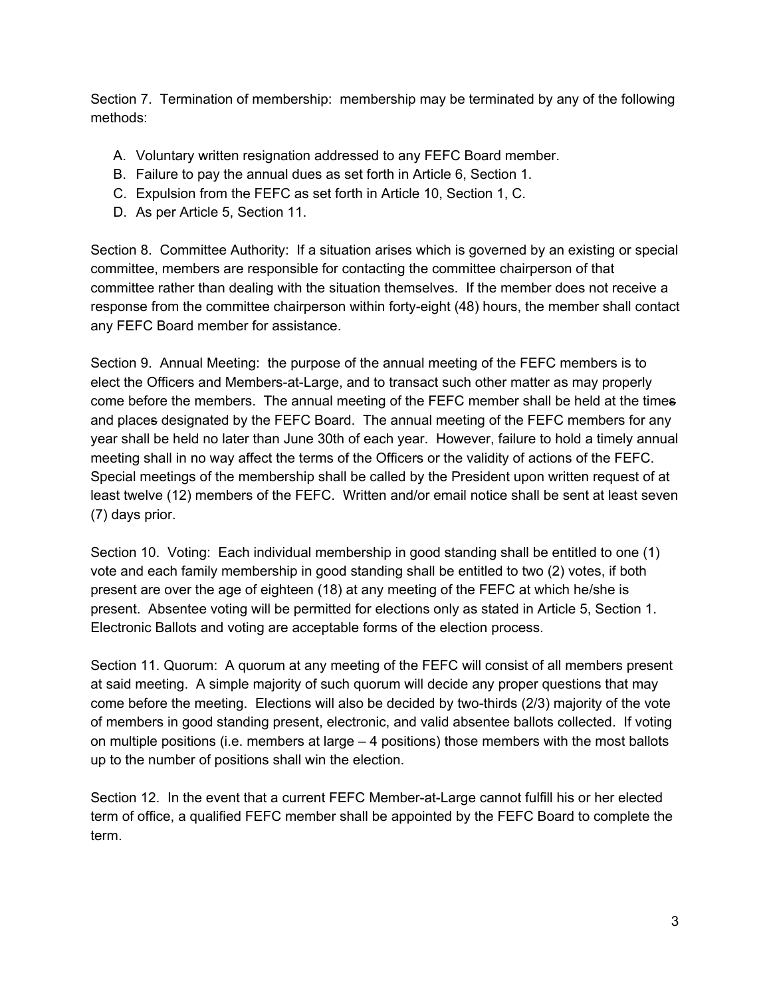Section 7. Termination of membership: membership may be terminated by any of the following methods:

- A. Voluntary written resignation addressed to any FEFC Board member.
- B. Failure to pay the annual dues as set forth in Article 6, Section 1.
- C. Expulsion from the FEFC as set forth in Article 10, Section 1, C.
- D. As per Article 5, Section 11.

Section 8. Committee Authority: If a situation arises which is governed by an existing or special committee, members are responsible for contacting the committee chairperson of that committee rather than dealing with the situation themselves. If the member does not receive a response from the committee chairperson within forty-eight (48) hours, the member shall contact any FEFC Board member for assistance.

Section 9. Annual Meeting: the purpose of the annual meeting of the FEFC members is to elect the Officers and Members-at-Large, and to transact such other matter as may properly come before the members. The annual meeting of the FEFC member shall be held at the times and places designated by the FEFC Board. The annual meeting of the FEFC members for any year shall be held no later than June 30th of each year. However, failure to hold a timely annual meeting shall in no way affect the terms of the Officers or the validity of actions of the FEFC. Special meetings of the membership shall be called by the President upon written request of at least twelve (12) members of the FEFC. Written and/or email notice shall be sent at least seven (7) days prior.

Section 10. Voting: Each individual membership in good standing shall be entitled to one (1) vote and each family membership in good standing shall be entitled to two (2) votes, if both present are over the age of eighteen (18) at any meeting of the FEFC at which he/she is present. Absentee voting will be permitted for elections only as stated in Article 5, Section 1. Electronic Ballots and voting are acceptable forms of the election process.

Section 11. Quorum: A quorum at any meeting of the FEFC will consist of all members present at said meeting. A simple majority of such quorum will decide any proper questions that may come before the meeting. Elections will also be decided by two-thirds (2/3) majority of the vote of members in good standing present, electronic, and valid absentee ballots collected. If voting on multiple positions (i.e. members at large – 4 positions) those members with the most ballots up to the number of positions shall win the election.

Section 12. In the event that a current FEFC Member-at-Large cannot fulfill his or her elected term of office, a qualified FEFC member shall be appointed by the FEFC Board to complete the term.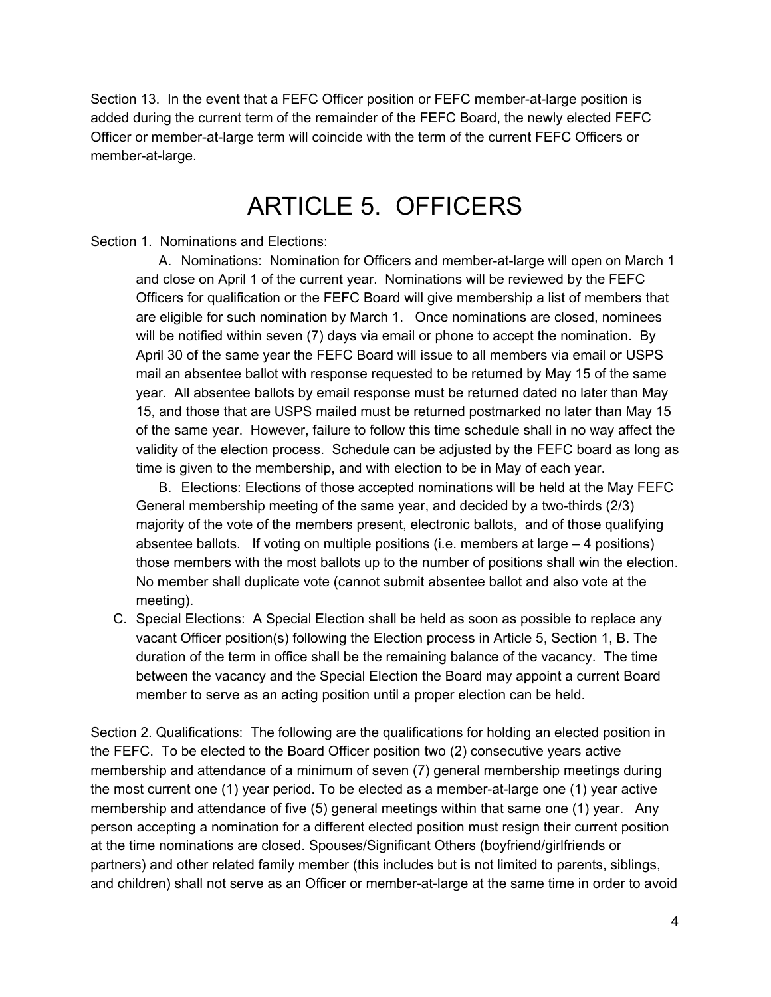Section 13. In the event that a FEFC Officer position or FEFC member-at-large position is added during the current term of the remainder of the FEFC Board, the newly elected FEFC Officer or member-at-large term will coincide with the term of the current FEFC Officers or member-at-large.

#### ARTICLE 5. OFFICERS

#### <span id="page-4-0"></span>Section 1. Nominations and Elections:

A. Nominations: Nomination for Officers and member-at-large will open on March 1 and close on April 1 of the current year. Nominations will be reviewed by the FEFC Officers for qualification or the FEFC Board will give membership a list of members that are eligible for such nomination by March 1. Once nominations are closed, nominees will be notified within seven (7) days via email or phone to accept the nomination. By April 30 of the same year the FEFC Board will issue to all members via email or USPS mail an absentee ballot with response requested to be returned by May 15 of the same year. All absentee ballots by email response must be returned dated no later than May 15, and those that are USPS mailed must be returned postmarked no later than May 15 of the same year. However, failure to follow this time schedule shall in no way affect the validity of the election process. Schedule can be adjusted by the FEFC board as long as time is given to the membership, and with election to be in May of each year.

B. Elections: Elections of those accepted nominations will be held at the May FEFC General membership meeting of the same year, and decided by a two-thirds (2/3) majority of the vote of the members present, electronic ballots, and of those qualifying absentee ballots. If voting on multiple positions (i.e. members at large – 4 positions) those members with the most ballots up to the number of positions shall win the election. No member shall duplicate vote (cannot submit absentee ballot and also vote at the meeting).

C. Special Elections: A Special Election shall be held as soon as possible to replace any vacant Officer position(s) following the Election process in Article 5, Section 1, B. The duration of the term in office shall be the remaining balance of the vacancy. The time between the vacancy and the Special Election the Board may appoint a current Board member to serve as an acting position until a proper election can be held.

Section 2. Qualifications: The following are the qualifications for holding an elected position in the FEFC. To be elected to the Board Officer position two (2) consecutive years active membership and attendance of a minimum of seven (7) general membership meetings during the most current one (1) year period. To be elected as a member-at-large one (1) year active membership and attendance of five (5) general meetings within that same one (1) year. Any person accepting a nomination for a different elected position must resign their current position at the time nominations are closed. Spouses/Significant Others (boyfriend/girlfriends or partners) and other related family member (this includes but is not limited to parents, siblings, and children) shall not serve as an Officer or member-at-large at the same time in order to avoid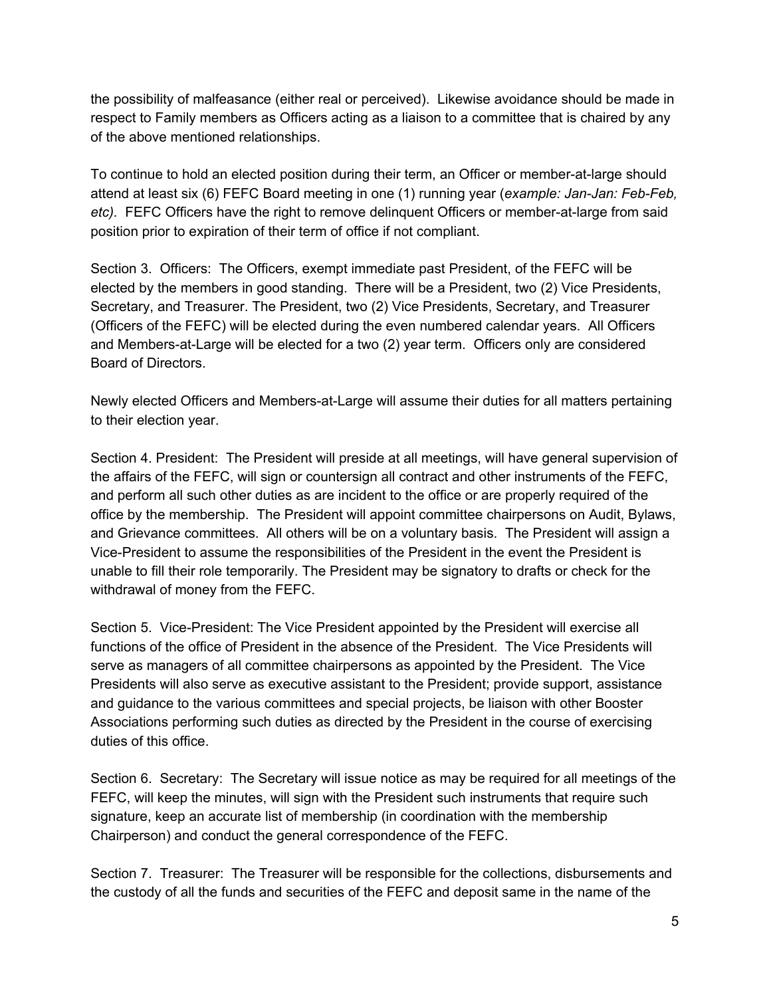the possibility of malfeasance (either real or perceived). Likewise avoidance should be made in respect to Family members as Officers acting as a liaison to a committee that is chaired by any of the above mentioned relationships.

To continue to hold an elected position during their term, an Officer or member-at-large should attend at least six (6) FEFC Board meeting in one (1) running year (*example: Jan-Jan: Feb-Feb, etc).* FEFC Officers have the right to remove delinquent Officers or member-at-large from said position prior to expiration of their term of office if not compliant.

Section 3. Officers: The Officers, exempt immediate past President, of the FEFC will be elected by the members in good standing. There will be a President, two (2) Vice Presidents, Secretary, and Treasurer. The President, two (2) Vice Presidents, Secretary, and Treasurer (Officers of the FEFC) will be elected during the even numbered calendar years. All Officers and Members-at-Large will be elected for a two (2) year term. Officers only are considered Board of Directors.

Newly elected Officers and Members-at-Large will assume their duties for all matters pertaining to their election year.

Section 4. President: The President will preside at all meetings, will have general supervision of the affairs of the FEFC, will sign or countersign all contract and other instruments of the FEFC, and perform all such other duties as are incident to the office or are properly required of the office by the membership. The President will appoint committee chairpersons on Audit, Bylaws, and Grievance committees. All others will be on a voluntary basis. The President will assign a Vice-President to assume the responsibilities of the President in the event the President is unable to fill their role temporarily. The President may be signatory to drafts or check for the withdrawal of money from the FEFC.

Section 5. Vice-President: The Vice President appointed by the President will exercise all functions of the office of President in the absence of the President. The Vice Presidents will serve as managers of all committee chairpersons as appointed by the President. The Vice Presidents will also serve as executive assistant to the President; provide support, assistance and guidance to the various committees and special projects, be liaison with other Booster Associations performing such duties as directed by the President in the course of exercising duties of this office.

Section 6. Secretary: The Secretary will issue notice as may be required for all meetings of the FEFC, will keep the minutes, will sign with the President such instruments that require such signature, keep an accurate list of membership (in coordination with the membership Chairperson) and conduct the general correspondence of the FEFC.

Section 7. Treasurer: The Treasurer will be responsible for the collections, disbursements and the custody of all the funds and securities of the FEFC and deposit same in the name of the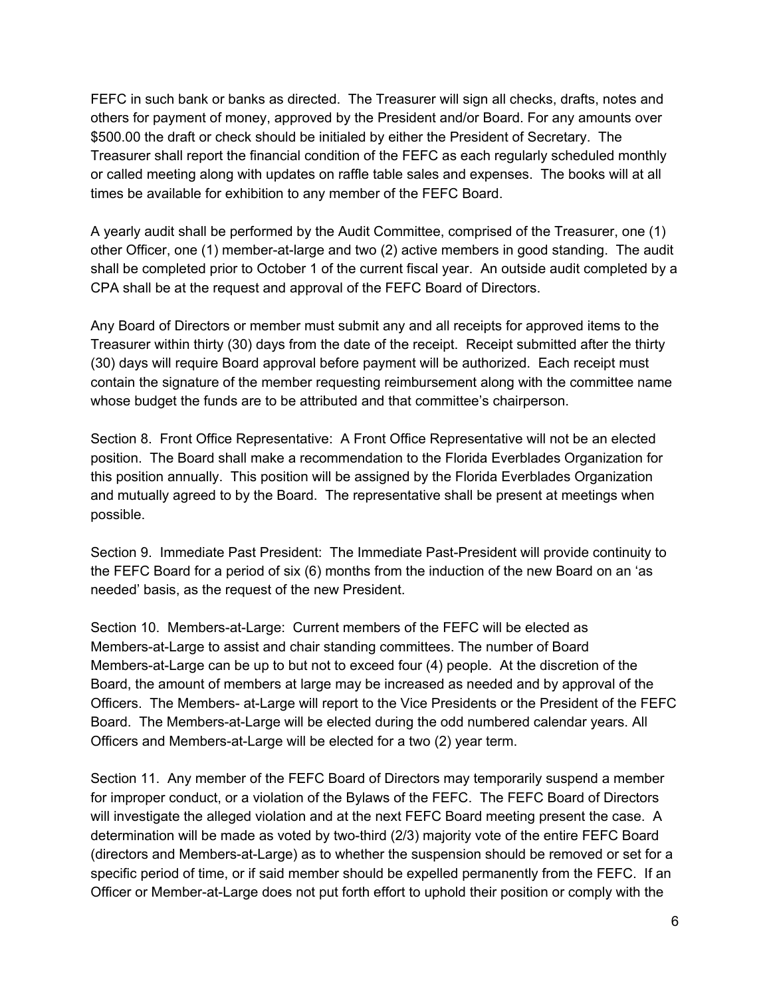FEFC in such bank or banks as directed. The Treasurer will sign all checks, drafts, notes and others for payment of money, approved by the President and/or Board. For any amounts over \$500.00 the draft or check should be initialed by either the President of Secretary. The Treasurer shall report the financial condition of the FEFC as each regularly scheduled monthly or called meeting along with updates on raffle table sales and expenses. The books will at all times be available for exhibition to any member of the FEFC Board.

A yearly audit shall be performed by the Audit Committee, comprised of the Treasurer, one (1) other Officer, one (1) member-at-large and two (2) active members in good standing. The audit shall be completed prior to October 1 of the current fiscal year. An outside audit completed by a CPA shall be at the request and approval of the FEFC Board of Directors.

Any Board of Directors or member must submit any and all receipts for approved items to the Treasurer within thirty (30) days from the date of the receipt. Receipt submitted after the thirty (30) days will require Board approval before payment will be authorized. Each receipt must contain the signature of the member requesting reimbursement along with the committee name whose budget the funds are to be attributed and that committee's chairperson.

Section 8. Front Office Representative: A Front Office Representative will not be an elected position. The Board shall make a recommendation to the Florida Everblades Organization for this position annually. This position will be assigned by the Florida Everblades Organization and mutually agreed to by the Board. The representative shall be present at meetings when possible.

Section 9. Immediate Past President: The Immediate Past-President will provide continuity to the FEFC Board for a period of six (6) months from the induction of the new Board on an 'as needed' basis, as the request of the new President.

Section 10. Members-at-Large: Current members of the FEFC will be elected as Members-at-Large to assist and chair standing committees. The number of Board Members-at-Large can be up to but not to exceed four (4) people. At the discretion of the Board, the amount of members at large may be increased as needed and by approval of the Officers. The Members- at-Large will report to the Vice Presidents or the President of the FEFC Board. The Members-at-Large will be elected during the odd numbered calendar years. All Officers and Members-at-Large will be elected for a two (2) year term.

Section 11. Any member of the FEFC Board of Directors may temporarily suspend a member for improper conduct, or a violation of the Bylaws of the FEFC. The FEFC Board of Directors will investigate the alleged violation and at the next FEFC Board meeting present the case. A determination will be made as voted by two-third (2/3) majority vote of the entire FEFC Board (directors and Members-at-Large) as to whether the suspension should be removed or set for a specific period of time, or if said member should be expelled permanently from the FEFC. If an Officer or Member-at-Large does not put forth effort to uphold their position or comply with the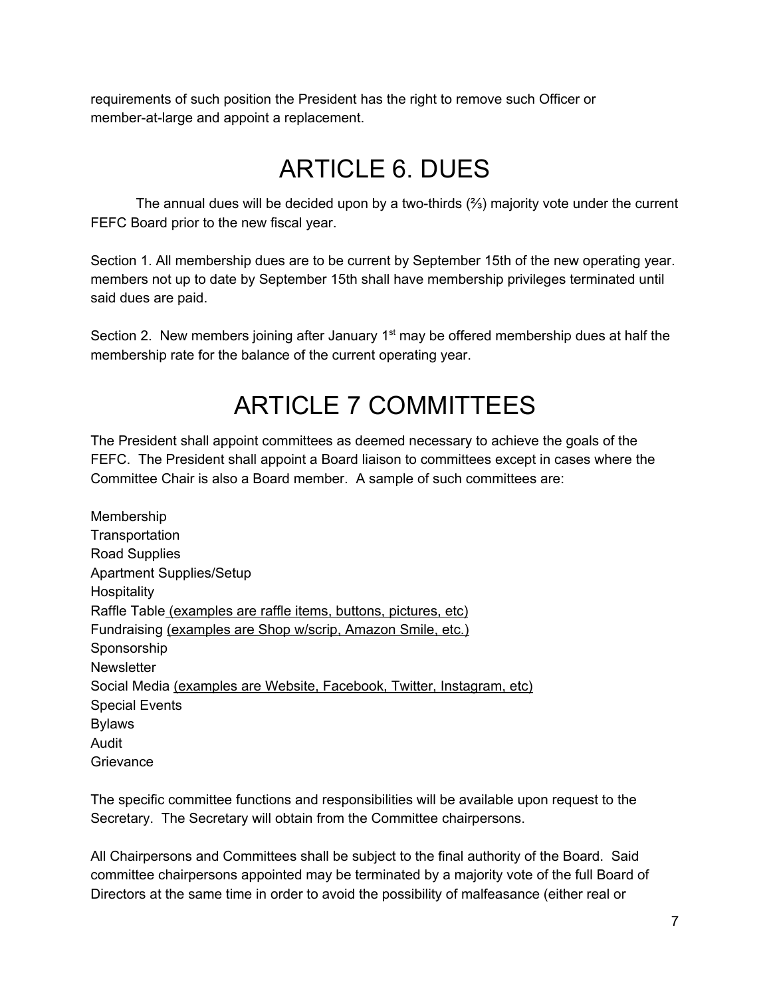<span id="page-7-0"></span>requirements of such position the President has the right to remove such Officer or member-at-large and appoint a replacement.

## ARTICLE 6. DUES

The annual dues will be decided upon by a two-thirds (⅔) majority vote under the current FEFC Board prior to the new fiscal year.

Section 1. All membership dues are to be current by September 15th of the new operating year. members not up to date by September 15th shall have membership privileges terminated until said dues are paid.

<span id="page-7-1"></span>Section 2. New members joining after January  $1<sup>st</sup>$  may be offered membership dues at half the membership rate for the balance of the current operating year.

#### ARTICLE 7 COMMITTEES

The President shall appoint committees as deemed necessary to achieve the goals of the FEFC. The President shall appoint a Board liaison to committees except in cases where the Committee Chair is also a Board member. A sample of such committees are:

Membership **Transportation** Road Supplies Apartment Supplies/Setup **Hospitality** Raffle Table (examples are raffle items, buttons, pictures, etc) Fundraising (examples are Shop w/scrip, Amazon Smile, etc.) Sponsorship **Newsletter** Social Media (examples are Website, Facebook, Twitter, Instagram, etc) Special Events Bylaws Audit **Grievance** 

The specific committee functions and responsibilities will be available upon request to the Secretary. The Secretary will obtain from the Committee chairpersons.

All Chairpersons and Committees shall be subject to the final authority of the Board. Said committee chairpersons appointed may be terminated by a majority vote of the full Board of Directors at the same time in order to avoid the possibility of malfeasance (either real or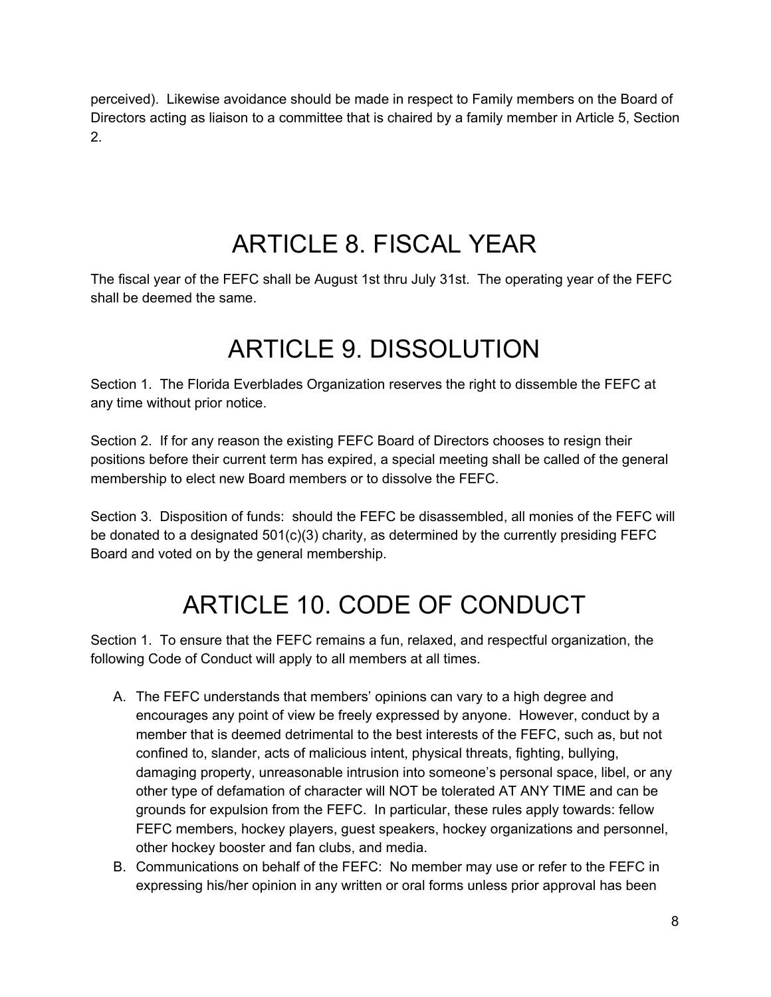perceived). Likewise avoidance should be made in respect to Family members on the Board of Directors acting as liaison to a committee that is chaired by a family member in Article 5, Section 2.

## ARTICLE 8. FISCAL YEAR

<span id="page-8-1"></span><span id="page-8-0"></span>The fiscal year of the FEFC shall be August 1st thru July 31st. The operating year of the FEFC shall be deemed the same.

#### ARTICLE 9. DISSOLUTION

Section 1. The Florida Everblades Organization reserves the right to dissemble the FEFC at any time without prior notice.

Section 2. If for any reason the existing FEFC Board of Directors chooses to resign their positions before their current term has expired, a special meeting shall be called of the general membership to elect new Board members or to dissolve the FEFC.

<span id="page-8-2"></span>Section 3. Disposition of funds: should the FEFC be disassembled, all monies of the FEFC will be donated to a designated  $501(c)(3)$  charity, as determined by the currently presiding FEFC Board and voted on by the general membership.

## ARTICLE 10. CODE OF CONDUCT

Section 1. To ensure that the FEFC remains a fun, relaxed, and respectful organization, the following Code of Conduct will apply to all members at all times.

- A. The FEFC understands that members' opinions can vary to a high degree and encourages any point of view be freely expressed by anyone. However, conduct by a member that is deemed detrimental to the best interests of the FEFC, such as, but not confined to, slander, acts of malicious intent, physical threats, fighting, bullying, damaging property, unreasonable intrusion into someone's personal space, libel, or any other type of defamation of character will NOT be tolerated AT ANY TIME and can be grounds for expulsion from the FEFC. In particular, these rules apply towards: fellow FEFC members, hockey players, guest speakers, hockey organizations and personnel, other hockey booster and fan clubs, and media.
- B. Communications on behalf of the FEFC: No member may use or refer to the FEFC in expressing his/her opinion in any written or oral forms unless prior approval has been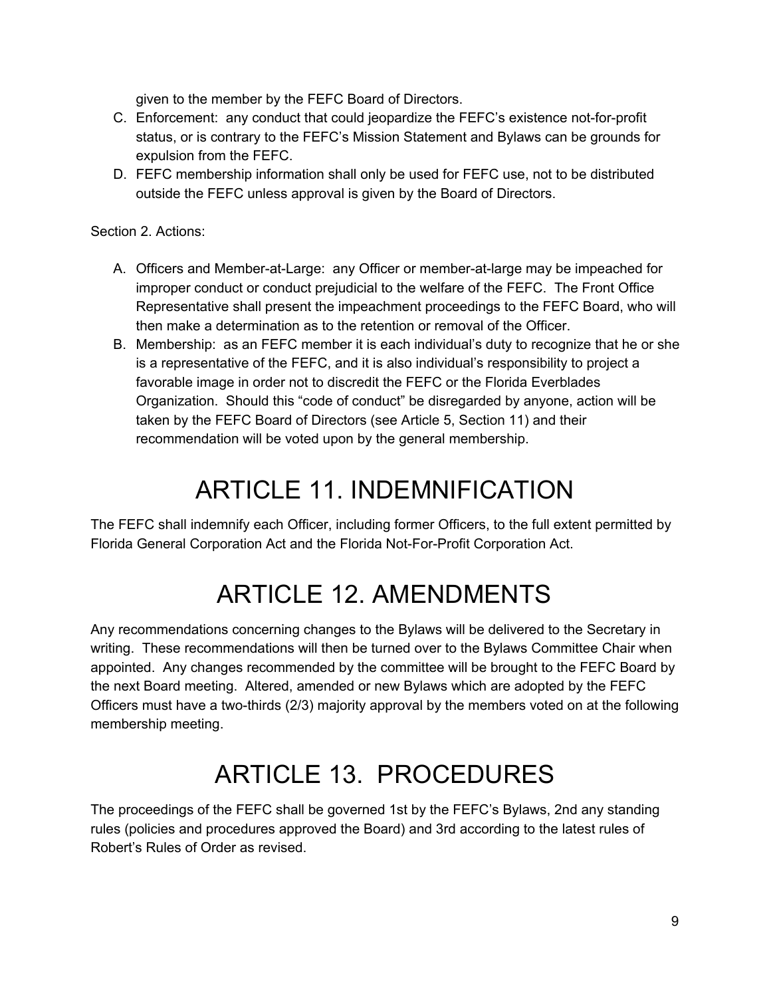given to the member by the FEFC Board of Directors.

- C. Enforcement: any conduct that could jeopardize the FEFC's existence not-for-profit status, or is contrary to the FEFC's Mission Statement and Bylaws can be grounds for expulsion from the FEFC.
- D. FEFC membership information shall only be used for FEFC use, not to be distributed outside the FEFC unless approval is given by the Board of Directors.

#### Section 2. Actions:

- A. Officers and Member-at-Large: any Officer or member-at-large may be impeached for improper conduct or conduct prejudicial to the welfare of the FEFC. The Front Office Representative shall present the impeachment proceedings to the FEFC Board, who will then make a determination as to the retention or removal of the Officer.
- B. Membership: as an FEFC member it is each individual's duty to recognize that he or she is a representative of the FEFC, and it is also individual's responsibility to project a favorable image in order not to discredit the FEFC or the Florida Everblades Organization. Should this "code of conduct" be disregarded by anyone, action will be taken by the FEFC Board of Directors (see Article 5, Section 11) and their recommendation will be voted upon by the general membership.

### ARTICLE 11. INDEMNIFICATION

<span id="page-9-1"></span><span id="page-9-0"></span>The FEFC shall indemnify each Officer, including former Officers, to the full extent permitted by Florida General Corporation Act and the Florida Not-For-Profit Corporation Act.

## ARTICLE 12. AMENDMENTS

Any recommendations concerning changes to the Bylaws will be delivered to the Secretary in writing. These recommendations will then be turned over to the Bylaws Committee Chair when appointed. Any changes recommended by the committee will be brought to the FEFC Board by the next Board meeting. Altered, amended or new Bylaws which are adopted by the FEFC Officers must have a two-thirds (2/3) majority approval by the members voted on at the following membership meeting.

## ARTICLE 13. PROCEDURES

<span id="page-9-2"></span>The proceedings of the FEFC shall be governed 1st by the FEFC's Bylaws, 2nd any standing rules (policies and procedures approved the Board) and 3rd according to the latest rules of Robert's Rules of Order as revised.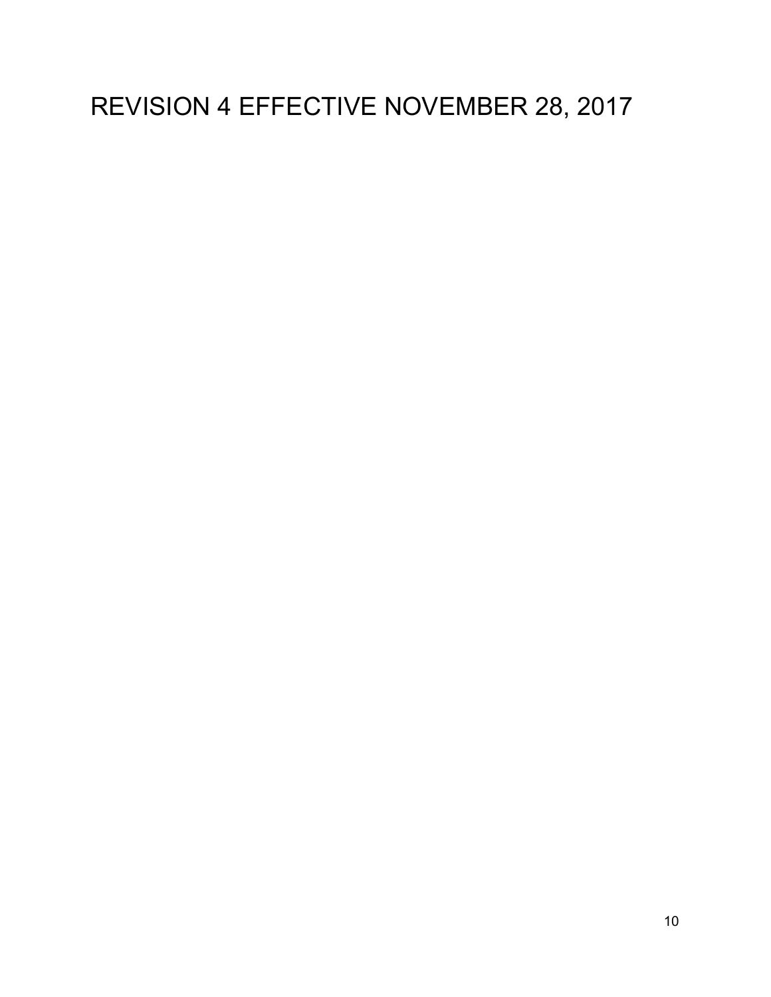## REVISION 4 EFFECTIVE NOVEMBER 28, 2017